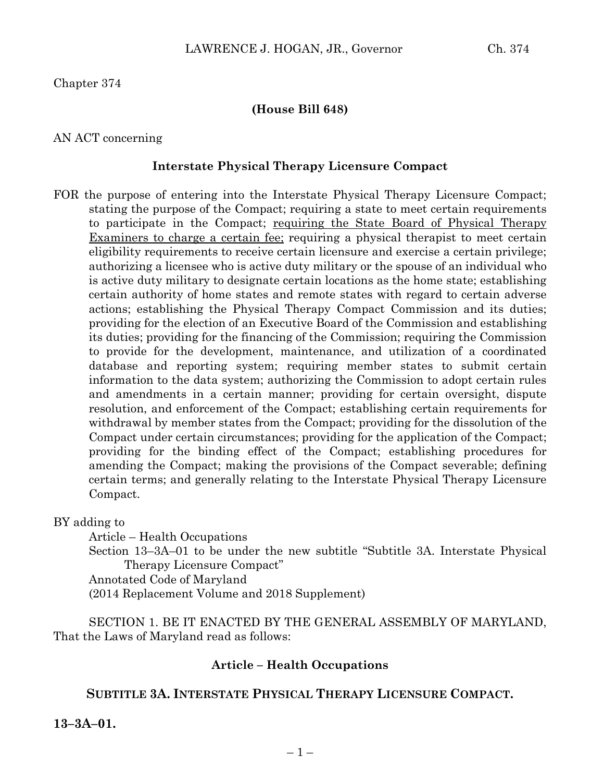Chapter 374

### **(House Bill 648)**

### AN ACT concerning

### **Interstate Physical Therapy Licensure Compact**

FOR the purpose of entering into the Interstate Physical Therapy Licensure Compact; stating the purpose of the Compact; requiring a state to meet certain requirements to participate in the Compact; requiring the State Board of Physical Therapy Examiners to charge a certain fee; requiring a physical therapist to meet certain eligibility requirements to receive certain licensure and exercise a certain privilege; authorizing a licensee who is active duty military or the spouse of an individual who is active duty military to designate certain locations as the home state; establishing certain authority of home states and remote states with regard to certain adverse actions; establishing the Physical Therapy Compact Commission and its duties; providing for the election of an Executive Board of the Commission and establishing its duties; providing for the financing of the Commission; requiring the Commission to provide for the development, maintenance, and utilization of a coordinated database and reporting system; requiring member states to submit certain information to the data system; authorizing the Commission to adopt certain rules and amendments in a certain manner; providing for certain oversight, dispute resolution, and enforcement of the Compact; establishing certain requirements for withdrawal by member states from the Compact; providing for the dissolution of the Compact under certain circumstances; providing for the application of the Compact; providing for the binding effect of the Compact; establishing procedures for amending the Compact; making the provisions of the Compact severable; defining certain terms; and generally relating to the Interstate Physical Therapy Licensure Compact.

BY adding to

Article – Health Occupations Section 13–3A–01 to be under the new subtitle "Subtitle 3A. Interstate Physical Therapy Licensure Compact" Annotated Code of Maryland (2014 Replacement Volume and 2018 Supplement)

SECTION 1. BE IT ENACTED BY THE GENERAL ASSEMBLY OF MARYLAND, That the Laws of Maryland read as follows:

## **Article – Health Occupations**

## **SUBTITLE 3A. INTERSTATE PHYSICAL THERAPY LICENSURE COMPACT.**

**13–3A–01.**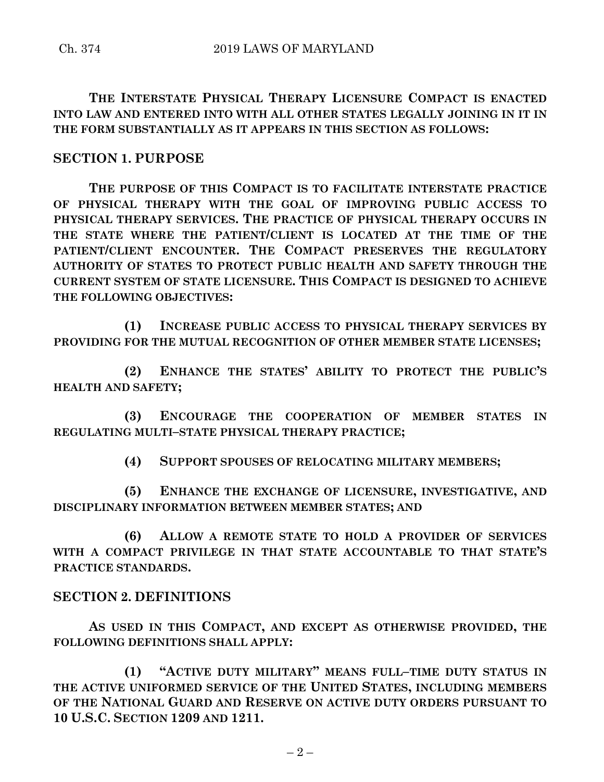**THE INTERSTATE PHYSICAL THERAPY LICENSURE COMPACT IS ENACTED INTO LAW AND ENTERED INTO WITH ALL OTHER STATES LEGALLY JOINING IN IT IN THE FORM SUBSTANTIALLY AS IT APPEARS IN THIS SECTION AS FOLLOWS:**

# **SECTION 1. PURPOSE**

**THE PURPOSE OF THIS COMPACT IS TO FACILITATE INTERSTATE PRACTICE OF PHYSICAL THERAPY WITH THE GOAL OF IMPROVING PUBLIC ACCESS TO PHYSICAL THERAPY SERVICES. THE PRACTICE OF PHYSICAL THERAPY OCCURS IN THE STATE WHERE THE PATIENT/CLIENT IS LOCATED AT THE TIME OF THE PATIENT/CLIENT ENCOUNTER. THE COMPACT PRESERVES THE REGULATORY AUTHORITY OF STATES TO PROTECT PUBLIC HEALTH AND SAFETY THROUGH THE CURRENT SYSTEM OF STATE LICENSURE. THIS COMPACT IS DESIGNED TO ACHIEVE THE FOLLOWING OBJECTIVES:**

**(1) INCREASE PUBLIC ACCESS TO PHYSICAL THERAPY SERVICES BY PROVIDING FOR THE MUTUAL RECOGNITION OF OTHER MEMBER STATE LICENSES;**

**(2) ENHANCE THE STATES' ABILITY TO PROTECT THE PUBLIC'S HEALTH AND SAFETY;**

**(3) ENCOURAGE THE COOPERATION OF MEMBER STATES IN REGULATING MULTI–STATE PHYSICAL THERAPY PRACTICE;**

**(4) SUPPORT SPOUSES OF RELOCATING MILITARY MEMBERS;**

**(5) ENHANCE THE EXCHANGE OF LICENSURE, INVESTIGATIVE, AND DISCIPLINARY INFORMATION BETWEEN MEMBER STATES; AND** 

**(6) ALLOW A REMOTE STATE TO HOLD A PROVIDER OF SERVICES WITH A COMPACT PRIVILEGE IN THAT STATE ACCOUNTABLE TO THAT STATE'S PRACTICE STANDARDS.**

# **SECTION 2. DEFINITIONS**

**AS USED IN THIS COMPACT, AND EXCEPT AS OTHERWISE PROVIDED, THE FOLLOWING DEFINITIONS SHALL APPLY:**

**(1) "ACTIVE DUTY MILITARY" MEANS FULL–TIME DUTY STATUS IN THE ACTIVE UNIFORMED SERVICE OF THE UNITED STATES, INCLUDING MEMBERS OF THE NATIONAL GUARD AND RESERVE ON ACTIVE DUTY ORDERS PURSUANT TO 10 U.S.C. SECTION 1209 AND 1211.**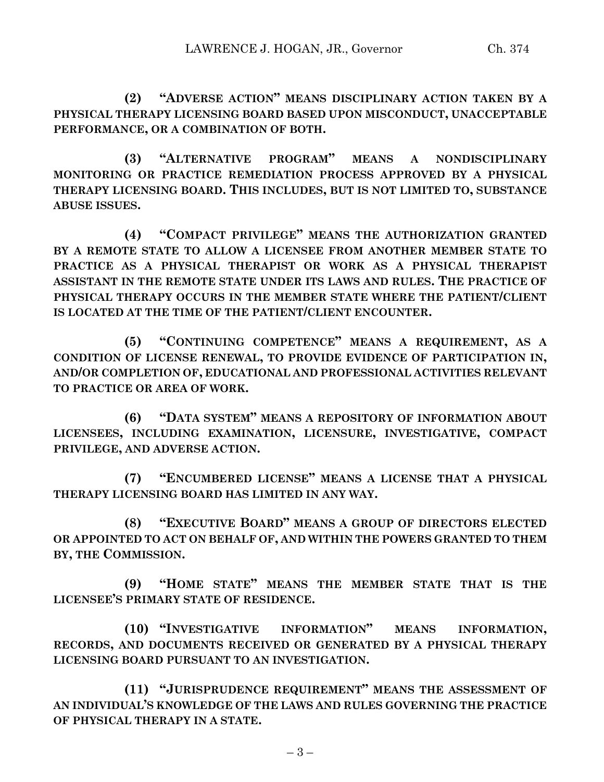**(2) "ADVERSE ACTION" MEANS DISCIPLINARY ACTION TAKEN BY A PHYSICAL THERAPY LICENSING BOARD BASED UPON MISCONDUCT, UNACCEPTABLE PERFORMANCE, OR A COMBINATION OF BOTH.**

**(3) "ALTERNATIVE PROGRAM" MEANS A NONDISCIPLINARY MONITORING OR PRACTICE REMEDIATION PROCESS APPROVED BY A PHYSICAL THERAPY LICENSING BOARD. THIS INCLUDES, BUT IS NOT LIMITED TO, SUBSTANCE ABUSE ISSUES.**

**(4) "COMPACT PRIVILEGE" MEANS THE AUTHORIZATION GRANTED BY A REMOTE STATE TO ALLOW A LICENSEE FROM ANOTHER MEMBER STATE TO PRACTICE AS A PHYSICAL THERAPIST OR WORK AS A PHYSICAL THERAPIST ASSISTANT IN THE REMOTE STATE UNDER ITS LAWS AND RULES. THE PRACTICE OF PHYSICAL THERAPY OCCURS IN THE MEMBER STATE WHERE THE PATIENT/CLIENT IS LOCATED AT THE TIME OF THE PATIENT/CLIENT ENCOUNTER.**

**(5) "CONTINUING COMPETENCE" MEANS A REQUIREMENT, AS A CONDITION OF LICENSE RENEWAL, TO PROVIDE EVIDENCE OF PARTICIPATION IN, AND/OR COMPLETION OF, EDUCATIONAL AND PROFESSIONAL ACTIVITIES RELEVANT TO PRACTICE OR AREA OF WORK.**

**(6) "DATA SYSTEM" MEANS A REPOSITORY OF INFORMATION ABOUT LICENSEES, INCLUDING EXAMINATION, LICENSURE, INVESTIGATIVE, COMPACT PRIVILEGE, AND ADVERSE ACTION.**

**(7) "ENCUMBERED LICENSE" MEANS A LICENSE THAT A PHYSICAL THERAPY LICENSING BOARD HAS LIMITED IN ANY WAY.**

**(8) "EXECUTIVE BOARD" MEANS A GROUP OF DIRECTORS ELECTED OR APPOINTED TO ACT ON BEHALF OF, AND WITHIN THE POWERS GRANTED TO THEM BY, THE COMMISSION.**

**(9) "HOME STATE" MEANS THE MEMBER STATE THAT IS THE LICENSEE'S PRIMARY STATE OF RESIDENCE.**

**(10) "INVESTIGATIVE INFORMATION" MEANS INFORMATION, RECORDS, AND DOCUMENTS RECEIVED OR GENERATED BY A PHYSICAL THERAPY LICENSING BOARD PURSUANT TO AN INVESTIGATION.**

**(11) "JURISPRUDENCE REQUIREMENT" MEANS THE ASSESSMENT OF AN INDIVIDUAL'S KNOWLEDGE OF THE LAWS AND RULES GOVERNING THE PRACTICE OF PHYSICAL THERAPY IN A STATE.**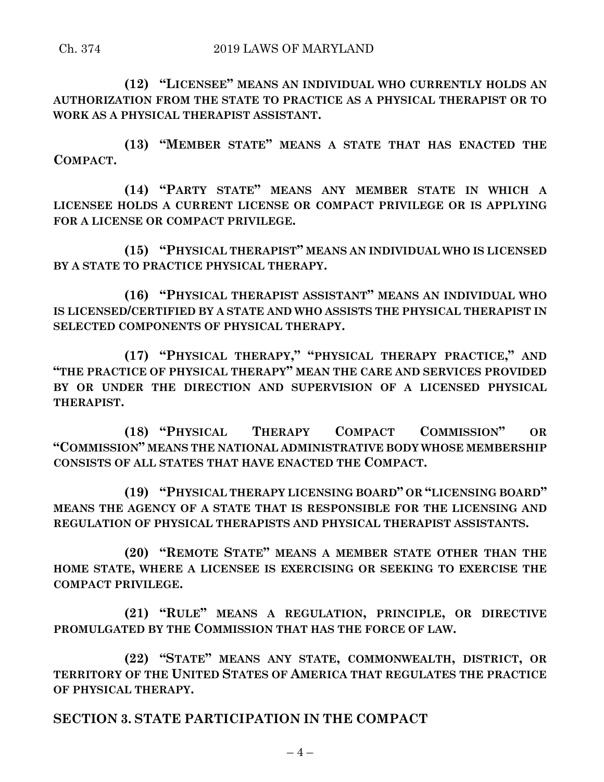**(12) "LICENSEE" MEANS AN INDIVIDUAL WHO CURRENTLY HOLDS AN AUTHORIZATION FROM THE STATE TO PRACTICE AS A PHYSICAL THERAPIST OR TO WORK AS A PHYSICAL THERAPIST ASSISTANT.**

**(13) "MEMBER STATE" MEANS A STATE THAT HAS ENACTED THE COMPACT.**

**(14) "PARTY STATE" MEANS ANY MEMBER STATE IN WHICH A LICENSEE HOLDS A CURRENT LICENSE OR COMPACT PRIVILEGE OR IS APPLYING FOR A LICENSE OR COMPACT PRIVILEGE.**

**(15) "PHYSICAL THERAPIST" MEANS AN INDIVIDUAL WHO IS LICENSED BY A STATE TO PRACTICE PHYSICAL THERAPY.**

**(16) "PHYSICAL THERAPIST ASSISTANT" MEANS AN INDIVIDUAL WHO IS LICENSED/CERTIFIED BY A STATE AND WHO ASSISTS THE PHYSICAL THERAPIST IN SELECTED COMPONENTS OF PHYSICAL THERAPY.**

**(17) "PHYSICAL THERAPY," "PHYSICAL THERAPY PRACTICE," AND "THE PRACTICE OF PHYSICAL THERAPY" MEAN THE CARE AND SERVICES PROVIDED BY OR UNDER THE DIRECTION AND SUPERVISION OF A LICENSED PHYSICAL THERAPIST.**

**(18) "PHYSICAL THERAPY COMPACT COMMISSION" OR "COMMISSION" MEANS THE NATIONAL ADMINISTRATIVE BODY WHOSE MEMBERSHIP CONSISTS OF ALL STATES THAT HAVE ENACTED THE COMPACT.**

**(19) "PHYSICAL THERAPY LICENSING BOARD" OR "LICENSING BOARD" MEANS THE AGENCY OF A STATE THAT IS RESPONSIBLE FOR THE LICENSING AND REGULATION OF PHYSICAL THERAPISTS AND PHYSICAL THERAPIST ASSISTANTS.**

**(20) "REMOTE STATE" MEANS A MEMBER STATE OTHER THAN THE HOME STATE, WHERE A LICENSEE IS EXERCISING OR SEEKING TO EXERCISE THE COMPACT PRIVILEGE.**

**(21) "RULE" MEANS A REGULATION, PRINCIPLE, OR DIRECTIVE PROMULGATED BY THE COMMISSION THAT HAS THE FORCE OF LAW.**

**(22) "STATE" MEANS ANY STATE, COMMONWEALTH, DISTRICT, OR TERRITORY OF THE UNITED STATES OF AMERICA THAT REGULATES THE PRACTICE OF PHYSICAL THERAPY.**

**SECTION 3. STATE PARTICIPATION IN THE COMPACT**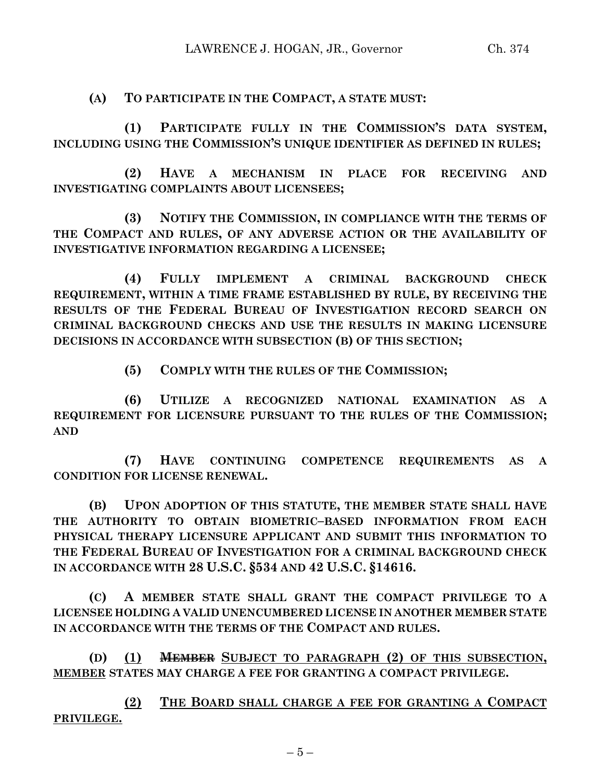**(A) TO PARTICIPATE IN THE COMPACT, A STATE MUST:**

**(1) PARTICIPATE FULLY IN THE COMMISSION'S DATA SYSTEM, INCLUDING USING THE COMMISSION'S UNIQUE IDENTIFIER AS DEFINED IN RULES;**

**(2) HAVE A MECHANISM IN PLACE FOR RECEIVING AND INVESTIGATING COMPLAINTS ABOUT LICENSEES;**

**(3) NOTIFY THE COMMISSION, IN COMPLIANCE WITH THE TERMS OF THE COMPACT AND RULES, OF ANY ADVERSE ACTION OR THE AVAILABILITY OF INVESTIGATIVE INFORMATION REGARDING A LICENSEE;**

**(4) FULLY IMPLEMENT A CRIMINAL BACKGROUND CHECK REQUIREMENT, WITHIN A TIME FRAME ESTABLISHED BY RULE, BY RECEIVING THE RESULTS OF THE FEDERAL BUREAU OF INVESTIGATION RECORD SEARCH ON CRIMINAL BACKGROUND CHECKS AND USE THE RESULTS IN MAKING LICENSURE DECISIONS IN ACCORDANCE WITH SUBSECTION (B) OF THIS SECTION;**

**(5) COMPLY WITH THE RULES OF THE COMMISSION;**

**(6) UTILIZE A RECOGNIZED NATIONAL EXAMINATION AS A REQUIREMENT FOR LICENSURE PURSUANT TO THE RULES OF THE COMMISSION; AND** 

**(7) HAVE CONTINUING COMPETENCE REQUIREMENTS AS A CONDITION FOR LICENSE RENEWAL.**

**(B) UPON ADOPTION OF THIS STATUTE, THE MEMBER STATE SHALL HAVE THE AUTHORITY TO OBTAIN BIOMETRIC–BASED INFORMATION FROM EACH PHYSICAL THERAPY LICENSURE APPLICANT AND SUBMIT THIS INFORMATION TO THE FEDERAL BUREAU OF INVESTIGATION FOR A CRIMINAL BACKGROUND CHECK IN ACCORDANCE WITH 28 U.S.C. §534 AND 42 U.S.C. §14616.**

**(C) A MEMBER STATE SHALL GRANT THE COMPACT PRIVILEGE TO A LICENSEE HOLDING A VALID UNENCUMBERED LICENSE IN ANOTHER MEMBER STATE IN ACCORDANCE WITH THE TERMS OF THE COMPACT AND RULES.**

**(D) (1) MEMBER SUBJECT TO PARAGRAPH (2) OF THIS SUBSECTION, MEMBER STATES MAY CHARGE A FEE FOR GRANTING A COMPACT PRIVILEGE.**

**(2) THE BOARD SHALL CHARGE A FEE FOR GRANTING A COMPACT PRIVILEGE.**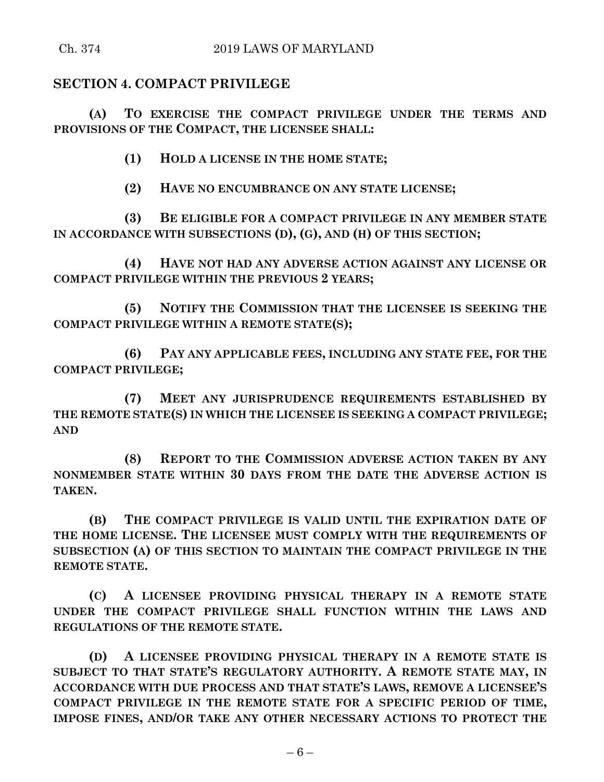# **SECTION 4. COMPACT PRIVILEGE**

**(A) TO EXERCISE THE COMPACT PRIVILEGE UNDER THE TERMS AND PROVISIONS OF THE COMPACT, THE LICENSEE SHALL:**

**(1) HOLD A LICENSE IN THE HOME STATE;**

**(2) HAVE NO ENCUMBRANCE ON ANY STATE LICENSE;**

**(3) BE ELIGIBLE FOR A COMPACT PRIVILEGE IN ANY MEMBER STATE IN ACCORDANCE WITH SUBSECTIONS (D), (G), AND (H) OF THIS SECTION;**

**(4) HAVE NOT HAD ANY ADVERSE ACTION AGAINST ANY LICENSE OR COMPACT PRIVILEGE WITHIN THE PREVIOUS 2 YEARS;**

**(5) NOTIFY THE COMMISSION THAT THE LICENSEE IS SEEKING THE COMPACT PRIVILEGE WITHIN A REMOTE STATE(S);**

**(6) PAY ANY APPLICABLE FEES, INCLUDING ANY STATE FEE, FOR THE COMPACT PRIVILEGE;**

**(7) MEET ANY JURISPRUDENCE REQUIREMENTS ESTABLISHED BY THE REMOTE STATE(S) IN WHICH THE LICENSEE IS SEEKING A COMPACT PRIVILEGE; AND** 

**(8) REPORT TO THE COMMISSION ADVERSE ACTION TAKEN BY ANY NONMEMBER STATE WITHIN 30 DAYS FROM THE DATE THE ADVERSE ACTION IS TAKEN.**

**(B) THE COMPACT PRIVILEGE IS VALID UNTIL THE EXPIRATION DATE OF THE HOME LICENSE. THE LICENSEE MUST COMPLY WITH THE REQUIREMENTS OF SUBSECTION (A) OF THIS SECTION TO MAINTAIN THE COMPACT PRIVILEGE IN THE REMOTE STATE.**

**(C) A LICENSEE PROVIDING PHYSICAL THERAPY IN A REMOTE STATE UNDER THE COMPACT PRIVILEGE SHALL FUNCTION WITHIN THE LAWS AND REGULATIONS OF THE REMOTE STATE.**

**(D) A LICENSEE PROVIDING PHYSICAL THERAPY IN A REMOTE STATE IS SUBJECT TO THAT STATE'S REGULATORY AUTHORITY. A REMOTE STATE MAY, IN ACCORDANCE WITH DUE PROCESS AND THAT STATE'S LAWS, REMOVE A LICENSEE'S COMPACT PRIVILEGE IN THE REMOTE STATE FOR A SPECIFIC PERIOD OF TIME, IMPOSE FINES, AND/OR TAKE ANY OTHER NECESSARY ACTIONS TO PROTECT THE**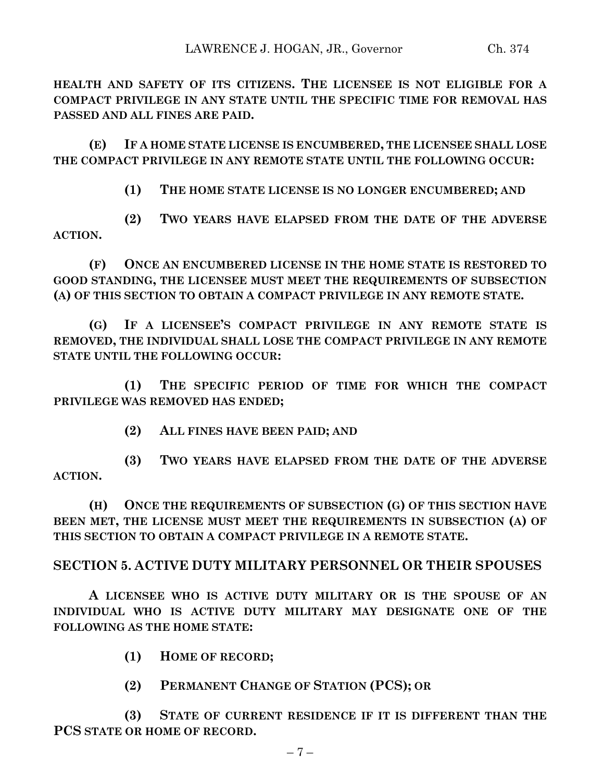**HEALTH AND SAFETY OF ITS CITIZENS. THE LICENSEE IS NOT ELIGIBLE FOR A COMPACT PRIVILEGE IN ANY STATE UNTIL THE SPECIFIC TIME FOR REMOVAL HAS PASSED AND ALL FINES ARE PAID.**

**(E) IF A HOME STATE LICENSE IS ENCUMBERED, THE LICENSEE SHALL LOSE THE COMPACT PRIVILEGE IN ANY REMOTE STATE UNTIL THE FOLLOWING OCCUR:**

**(1) THE HOME STATE LICENSE IS NO LONGER ENCUMBERED; AND** 

**(2) TWO YEARS HAVE ELAPSED FROM THE DATE OF THE ADVERSE ACTION.**

**(F) ONCE AN ENCUMBERED LICENSE IN THE HOME STATE IS RESTORED TO GOOD STANDING, THE LICENSEE MUST MEET THE REQUIREMENTS OF SUBSECTION (A) OF THIS SECTION TO OBTAIN A COMPACT PRIVILEGE IN ANY REMOTE STATE.**

**(G) IF A LICENSEE'S COMPACT PRIVILEGE IN ANY REMOTE STATE IS REMOVED, THE INDIVIDUAL SHALL LOSE THE COMPACT PRIVILEGE IN ANY REMOTE STATE UNTIL THE FOLLOWING OCCUR:**

**(1) THE SPECIFIC PERIOD OF TIME FOR WHICH THE COMPACT PRIVILEGE WAS REMOVED HAS ENDED;**

**(2) ALL FINES HAVE BEEN PAID; AND** 

**(3) TWO YEARS HAVE ELAPSED FROM THE DATE OF THE ADVERSE ACTION.**

**(H) ONCE THE REQUIREMENTS OF SUBSECTION (G) OF THIS SECTION HAVE BEEN MET, THE LICENSE MUST MEET THE REQUIREMENTS IN SUBSECTION (A) OF THIS SECTION TO OBTAIN A COMPACT PRIVILEGE IN A REMOTE STATE.**

# **SECTION 5. ACTIVE DUTY MILITARY PERSONNEL OR THEIR SPOUSES**

**A LICENSEE WHO IS ACTIVE DUTY MILITARY OR IS THE SPOUSE OF AN INDIVIDUAL WHO IS ACTIVE DUTY MILITARY MAY DESIGNATE ONE OF THE FOLLOWING AS THE HOME STATE:**

- **(1) HOME OF RECORD;**
- **(2) PERMANENT CHANGE OF STATION (PCS); OR**

**(3) STATE OF CURRENT RESIDENCE IF IT IS DIFFERENT THAN THE PCS STATE OR HOME OF RECORD.**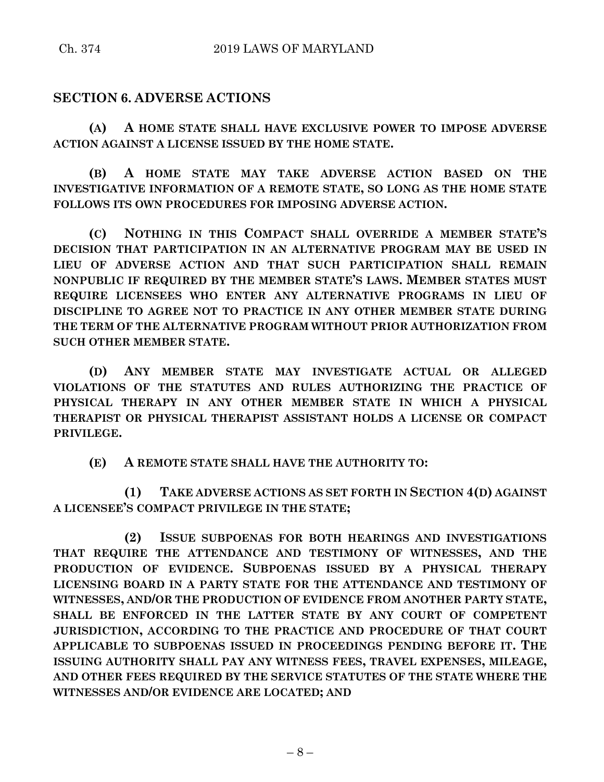# **SECTION 6. ADVERSE ACTIONS**

**(A) A HOME STATE SHALL HAVE EXCLUSIVE POWER TO IMPOSE ADVERSE ACTION AGAINST A LICENSE ISSUED BY THE HOME STATE.**

**(B) A HOME STATE MAY TAKE ADVERSE ACTION BASED ON THE INVESTIGATIVE INFORMATION OF A REMOTE STATE, SO LONG AS THE HOME STATE FOLLOWS ITS OWN PROCEDURES FOR IMPOSING ADVERSE ACTION.**

**(C) NOTHING IN THIS COMPACT SHALL OVERRIDE A MEMBER STATE'S DECISION THAT PARTICIPATION IN AN ALTERNATIVE PROGRAM MAY BE USED IN LIEU OF ADVERSE ACTION AND THAT SUCH PARTICIPATION SHALL REMAIN NONPUBLIC IF REQUIRED BY THE MEMBER STATE'S LAWS. MEMBER STATES MUST REQUIRE LICENSEES WHO ENTER ANY ALTERNATIVE PROGRAMS IN LIEU OF DISCIPLINE TO AGREE NOT TO PRACTICE IN ANY OTHER MEMBER STATE DURING THE TERM OF THE ALTERNATIVE PROGRAM WITHOUT PRIOR AUTHORIZATION FROM SUCH OTHER MEMBER STATE.**

**(D) ANY MEMBER STATE MAY INVESTIGATE ACTUAL OR ALLEGED VIOLATIONS OF THE STATUTES AND RULES AUTHORIZING THE PRACTICE OF PHYSICAL THERAPY IN ANY OTHER MEMBER STATE IN WHICH A PHYSICAL THERAPIST OR PHYSICAL THERAPIST ASSISTANT HOLDS A LICENSE OR COMPACT PRIVILEGE.**

**(E) A REMOTE STATE SHALL HAVE THE AUTHORITY TO:**

**(1) TAKE ADVERSE ACTIONS AS SET FORTH IN SECTION 4(D) AGAINST A LICENSEE'S COMPACT PRIVILEGE IN THE STATE;**

**(2) ISSUE SUBPOENAS FOR BOTH HEARINGS AND INVESTIGATIONS THAT REQUIRE THE ATTENDANCE AND TESTIMONY OF WITNESSES, AND THE PRODUCTION OF EVIDENCE. SUBPOENAS ISSUED BY A PHYSICAL THERAPY LICENSING BOARD IN A PARTY STATE FOR THE ATTENDANCE AND TESTIMONY OF WITNESSES, AND/OR THE PRODUCTION OF EVIDENCE FROM ANOTHER PARTY STATE, SHALL BE ENFORCED IN THE LATTER STATE BY ANY COURT OF COMPETENT JURISDICTION, ACCORDING TO THE PRACTICE AND PROCEDURE OF THAT COURT APPLICABLE TO SUBPOENAS ISSUED IN PROCEEDINGS PENDING BEFORE IT. THE ISSUING AUTHORITY SHALL PAY ANY WITNESS FEES, TRAVEL EXPENSES, MILEAGE, AND OTHER FEES REQUIRED BY THE SERVICE STATUTES OF THE STATE WHERE THE WITNESSES AND/OR EVIDENCE ARE LOCATED; AND**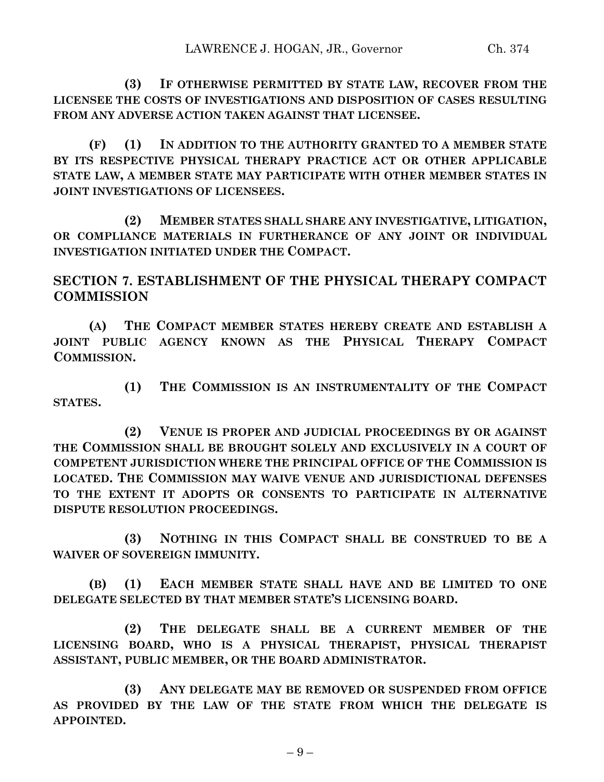**(3) IF OTHERWISE PERMITTED BY STATE LAW, RECOVER FROM THE LICENSEE THE COSTS OF INVESTIGATIONS AND DISPOSITION OF CASES RESULTING FROM ANY ADVERSE ACTION TAKEN AGAINST THAT LICENSEE.**

**(F) (1) IN ADDITION TO THE AUTHORITY GRANTED TO A MEMBER STATE BY ITS RESPECTIVE PHYSICAL THERAPY PRACTICE ACT OR OTHER APPLICABLE STATE LAW, A MEMBER STATE MAY PARTICIPATE WITH OTHER MEMBER STATES IN JOINT INVESTIGATIONS OF LICENSEES.**

**(2) MEMBER STATES SHALL SHARE ANY INVESTIGATIVE, LITIGATION, OR COMPLIANCE MATERIALS IN FURTHERANCE OF ANY JOINT OR INDIVIDUAL INVESTIGATION INITIATED UNDER THE COMPACT.**

**SECTION 7. ESTABLISHMENT OF THE PHYSICAL THERAPY COMPACT COMMISSION**

**(A) THE COMPACT MEMBER STATES HEREBY CREATE AND ESTABLISH A JOINT PUBLIC AGENCY KNOWN AS THE PHYSICAL THERAPY COMPACT COMMISSION.**

**(1) THE COMMISSION IS AN INSTRUMENTALITY OF THE COMPACT STATES.**

**(2) VENUE IS PROPER AND JUDICIAL PROCEEDINGS BY OR AGAINST THE COMMISSION SHALL BE BROUGHT SOLELY AND EXCLUSIVELY IN A COURT OF COMPETENT JURISDICTION WHERE THE PRINCIPAL OFFICE OF THE COMMISSION IS LOCATED. THE COMMISSION MAY WAIVE VENUE AND JURISDICTIONAL DEFENSES TO THE EXTENT IT ADOPTS OR CONSENTS TO PARTICIPATE IN ALTERNATIVE DISPUTE RESOLUTION PROCEEDINGS.**

**(3) NOTHING IN THIS COMPACT SHALL BE CONSTRUED TO BE A WAIVER OF SOVEREIGN IMMUNITY.**

**(B) (1) EACH MEMBER STATE SHALL HAVE AND BE LIMITED TO ONE DELEGATE SELECTED BY THAT MEMBER STATE'S LICENSING BOARD.**

**(2) THE DELEGATE SHALL BE A CURRENT MEMBER OF THE LICENSING BOARD, WHO IS A PHYSICAL THERAPIST, PHYSICAL THERAPIST ASSISTANT, PUBLIC MEMBER, OR THE BOARD ADMINISTRATOR.**

**(3) ANY DELEGATE MAY BE REMOVED OR SUSPENDED FROM OFFICE AS PROVIDED BY THE LAW OF THE STATE FROM WHICH THE DELEGATE IS APPOINTED.**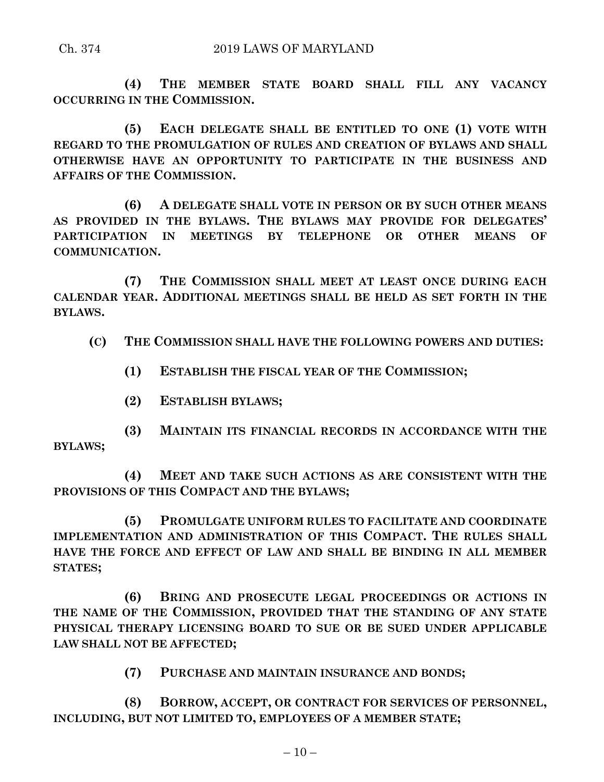**(4) THE MEMBER STATE BOARD SHALL FILL ANY VACANCY OCCURRING IN THE COMMISSION.**

**(5) EACH DELEGATE SHALL BE ENTITLED TO ONE (1) VOTE WITH REGARD TO THE PROMULGATION OF RULES AND CREATION OF BYLAWS AND SHALL OTHERWISE HAVE AN OPPORTUNITY TO PARTICIPATE IN THE BUSINESS AND AFFAIRS OF THE COMMISSION.**

**(6) A DELEGATE SHALL VOTE IN PERSON OR BY SUCH OTHER MEANS AS PROVIDED IN THE BYLAWS. THE BYLAWS MAY PROVIDE FOR DELEGATES' PARTICIPATION IN MEETINGS BY TELEPHONE OR OTHER MEANS OF COMMUNICATION.**

**(7) THE COMMISSION SHALL MEET AT LEAST ONCE DURING EACH CALENDAR YEAR. ADDITIONAL MEETINGS SHALL BE HELD AS SET FORTH IN THE BYLAWS.**

**(C) THE COMMISSION SHALL HAVE THE FOLLOWING POWERS AND DUTIES:**

- **(1) ESTABLISH THE FISCAL YEAR OF THE COMMISSION;**
- **(2) ESTABLISH BYLAWS;**

**(3) MAINTAIN ITS FINANCIAL RECORDS IN ACCORDANCE WITH THE BYLAWS;**

**(4) MEET AND TAKE SUCH ACTIONS AS ARE CONSISTENT WITH THE PROVISIONS OF THIS COMPACT AND THE BYLAWS;**

**(5) PROMULGATE UNIFORM RULES TO FACILITATE AND COORDINATE IMPLEMENTATION AND ADMINISTRATION OF THIS COMPACT. THE RULES SHALL HAVE THE FORCE AND EFFECT OF LAW AND SHALL BE BINDING IN ALL MEMBER STATES;**

**(6) BRING AND PROSECUTE LEGAL PROCEEDINGS OR ACTIONS IN THE NAME OF THE COMMISSION, PROVIDED THAT THE STANDING OF ANY STATE PHYSICAL THERAPY LICENSING BOARD TO SUE OR BE SUED UNDER APPLICABLE LAW SHALL NOT BE AFFECTED;**

**(7) PURCHASE AND MAINTAIN INSURANCE AND BONDS;**

**(8) BORROW, ACCEPT, OR CONTRACT FOR SERVICES OF PERSONNEL, INCLUDING, BUT NOT LIMITED TO, EMPLOYEES OF A MEMBER STATE;**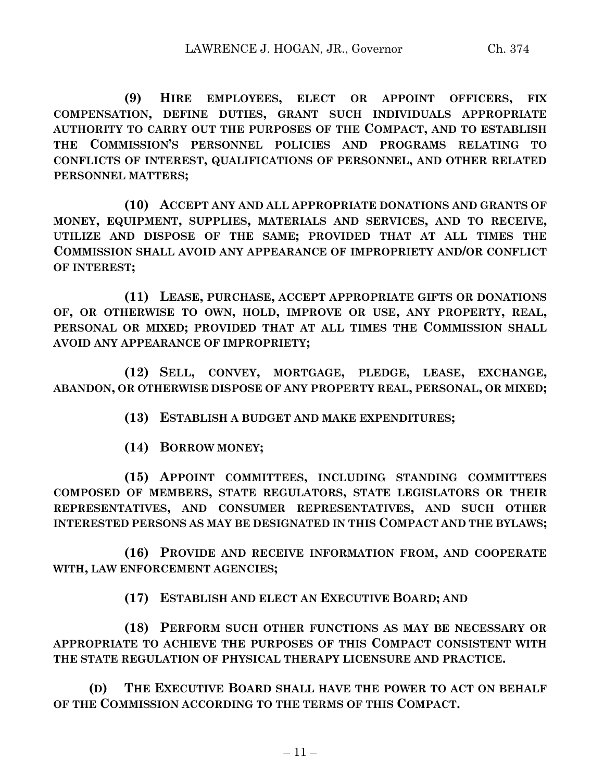**(9) HIRE EMPLOYEES, ELECT OR APPOINT OFFICERS, FIX COMPENSATION, DEFINE DUTIES, GRANT SUCH INDIVIDUALS APPROPRIATE AUTHORITY TO CARRY OUT THE PURPOSES OF THE COMPACT, AND TO ESTABLISH THE COMMISSION'S PERSONNEL POLICIES AND PROGRAMS RELATING TO CONFLICTS OF INTEREST, QUALIFICATIONS OF PERSONNEL, AND OTHER RELATED PERSONNEL MATTERS;**

**(10) ACCEPT ANY AND ALL APPROPRIATE DONATIONS AND GRANTS OF MONEY, EQUIPMENT, SUPPLIES, MATERIALS AND SERVICES, AND TO RECEIVE, UTILIZE AND DISPOSE OF THE SAME; PROVIDED THAT AT ALL TIMES THE COMMISSION SHALL AVOID ANY APPEARANCE OF IMPROPRIETY AND/OR CONFLICT OF INTEREST;**

**(11) LEASE, PURCHASE, ACCEPT APPROPRIATE GIFTS OR DONATIONS OF, OR OTHERWISE TO OWN, HOLD, IMPROVE OR USE, ANY PROPERTY, REAL, PERSONAL OR MIXED; PROVIDED THAT AT ALL TIMES THE COMMISSION SHALL AVOID ANY APPEARANCE OF IMPROPRIETY;**

**(12) SELL, CONVEY, MORTGAGE, PLEDGE, LEASE, EXCHANGE, ABANDON, OR OTHERWISE DISPOSE OF ANY PROPERTY REAL, PERSONAL, OR MIXED;**

**(13) ESTABLISH A BUDGET AND MAKE EXPENDITURES;**

**(14) BORROW MONEY;**

**(15) APPOINT COMMITTEES, INCLUDING STANDING COMMITTEES COMPOSED OF MEMBERS, STATE REGULATORS, STATE LEGISLATORS OR THEIR REPRESENTATIVES, AND CONSUMER REPRESENTATIVES, AND SUCH OTHER INTERESTED PERSONS AS MAY BE DESIGNATED IN THIS COMPACT AND THE BYLAWS;**

**(16) PROVIDE AND RECEIVE INFORMATION FROM, AND COOPERATE WITH, LAW ENFORCEMENT AGENCIES;**

**(17) ESTABLISH AND ELECT AN EXECUTIVE BOARD; AND** 

**(18) PERFORM SUCH OTHER FUNCTIONS AS MAY BE NECESSARY OR APPROPRIATE TO ACHIEVE THE PURPOSES OF THIS COMPACT CONSISTENT WITH THE STATE REGULATION OF PHYSICAL THERAPY LICENSURE AND PRACTICE.**

**(D) THE EXECUTIVE BOARD SHALL HAVE THE POWER TO ACT ON BEHALF OF THE COMMISSION ACCORDING TO THE TERMS OF THIS COMPACT.**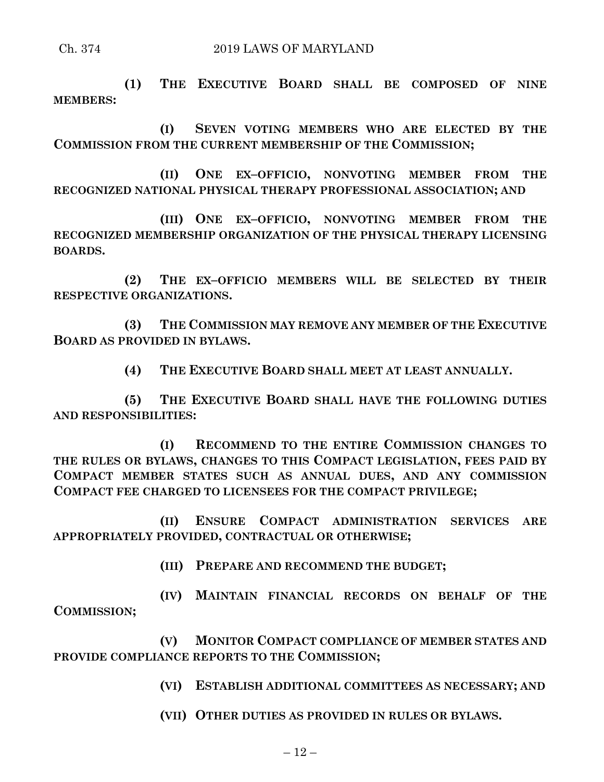**(1) THE EXECUTIVE BOARD SHALL BE COMPOSED OF NINE MEMBERS:**

**(I) SEVEN VOTING MEMBERS WHO ARE ELECTED BY THE COMMISSION FROM THE CURRENT MEMBERSHIP OF THE COMMISSION;**

**(II) ONE EX–OFFICIO, NONVOTING MEMBER FROM THE RECOGNIZED NATIONAL PHYSICAL THERAPY PROFESSIONAL ASSOCIATION; AND** 

**(III) ONE EX–OFFICIO, NONVOTING MEMBER FROM THE RECOGNIZED MEMBERSHIP ORGANIZATION OF THE PHYSICAL THERAPY LICENSING BOARDS.**

**(2) THE EX–OFFICIO MEMBERS WILL BE SELECTED BY THEIR RESPECTIVE ORGANIZATIONS.**

**(3) THE COMMISSION MAY REMOVE ANY MEMBER OF THE EXECUTIVE BOARD AS PROVIDED IN BYLAWS.**

**(4) THE EXECUTIVE BOARD SHALL MEET AT LEAST ANNUALLY.**

**(5) THE EXECUTIVE BOARD SHALL HAVE THE FOLLOWING DUTIES AND RESPONSIBILITIES:**

**(I) RECOMMEND TO THE ENTIRE COMMISSION CHANGES TO THE RULES OR BYLAWS, CHANGES TO THIS COMPACT LEGISLATION, FEES PAID BY COMPACT MEMBER STATES SUCH AS ANNUAL DUES, AND ANY COMMISSION COMPACT FEE CHARGED TO LICENSEES FOR THE COMPACT PRIVILEGE;**

**(II) ENSURE COMPACT ADMINISTRATION SERVICES ARE APPROPRIATELY PROVIDED, CONTRACTUAL OR OTHERWISE;**

**(III) PREPARE AND RECOMMEND THE BUDGET;**

**(IV) MAINTAIN FINANCIAL RECORDS ON BEHALF OF THE COMMISSION;**

**(V) MONITOR COMPACT COMPLIANCE OF MEMBER STATES AND PROVIDE COMPLIANCE REPORTS TO THE COMMISSION;**

**(VI) ESTABLISH ADDITIONAL COMMITTEES AS NECESSARY; AND** 

**(VII) OTHER DUTIES AS PROVIDED IN RULES OR BYLAWS.**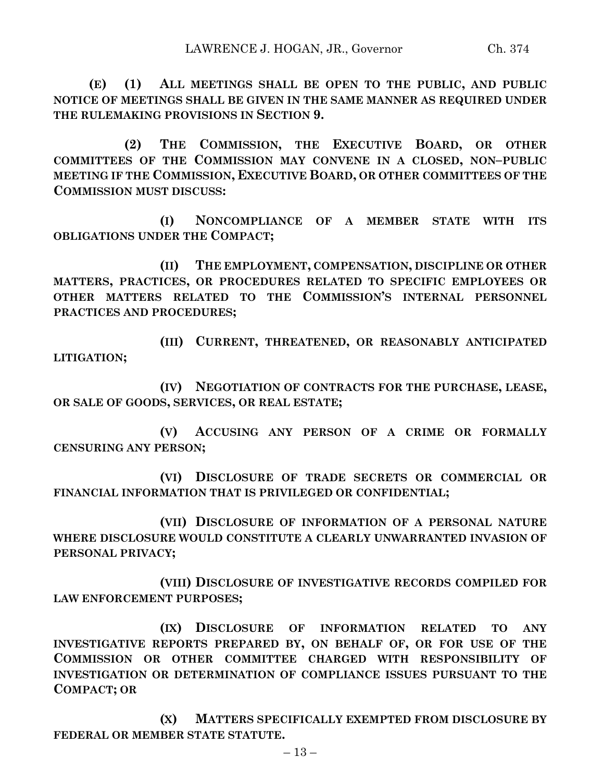**(E) (1) ALL MEETINGS SHALL BE OPEN TO THE PUBLIC, AND PUBLIC NOTICE OF MEETINGS SHALL BE GIVEN IN THE SAME MANNER AS REQUIRED UNDER THE RULEMAKING PROVISIONS IN SECTION 9.**

**(2) THE COMMISSION, THE EXECUTIVE BOARD, OR OTHER COMMITTEES OF THE COMMISSION MAY CONVENE IN A CLOSED, NON–PUBLIC MEETING IF THE COMMISSION, EXECUTIVE BOARD, OR OTHER COMMITTEES OF THE COMMISSION MUST DISCUSS:**

**(I) NONCOMPLIANCE OF A MEMBER STATE WITH ITS OBLIGATIONS UNDER THE COMPACT;**

**(II) THE EMPLOYMENT, COMPENSATION, DISCIPLINE OR OTHER MATTERS, PRACTICES, OR PROCEDURES RELATED TO SPECIFIC EMPLOYEES OR OTHER MATTERS RELATED TO THE COMMISSION'S INTERNAL PERSONNEL PRACTICES AND PROCEDURES;**

**(III) CURRENT, THREATENED, OR REASONABLY ANTICIPATED LITIGATION;**

**(IV) NEGOTIATION OF CONTRACTS FOR THE PURCHASE, LEASE, OR SALE OF GOODS, SERVICES, OR REAL ESTATE;**

**(V) ACCUSING ANY PERSON OF A CRIME OR FORMALLY CENSURING ANY PERSON;**

**(VI) DISCLOSURE OF TRADE SECRETS OR COMMERCIAL OR FINANCIAL INFORMATION THAT IS PRIVILEGED OR CONFIDENTIAL;**

**(VII) DISCLOSURE OF INFORMATION OF A PERSONAL NATURE WHERE DISCLOSURE WOULD CONSTITUTE A CLEARLY UNWARRANTED INVASION OF PERSONAL PRIVACY;**

**(VIII) DISCLOSURE OF INVESTIGATIVE RECORDS COMPILED FOR LAW ENFORCEMENT PURPOSES;**

**(IX) DISCLOSURE OF INFORMATION RELATED TO ANY INVESTIGATIVE REPORTS PREPARED BY, ON BEHALF OF, OR FOR USE OF THE COMMISSION OR OTHER COMMITTEE CHARGED WITH RESPONSIBILITY OF INVESTIGATION OR DETERMINATION OF COMPLIANCE ISSUES PURSUANT TO THE COMPACT; OR** 

**(X) MATTERS SPECIFICALLY EXEMPTED FROM DISCLOSURE BY FEDERAL OR MEMBER STATE STATUTE.**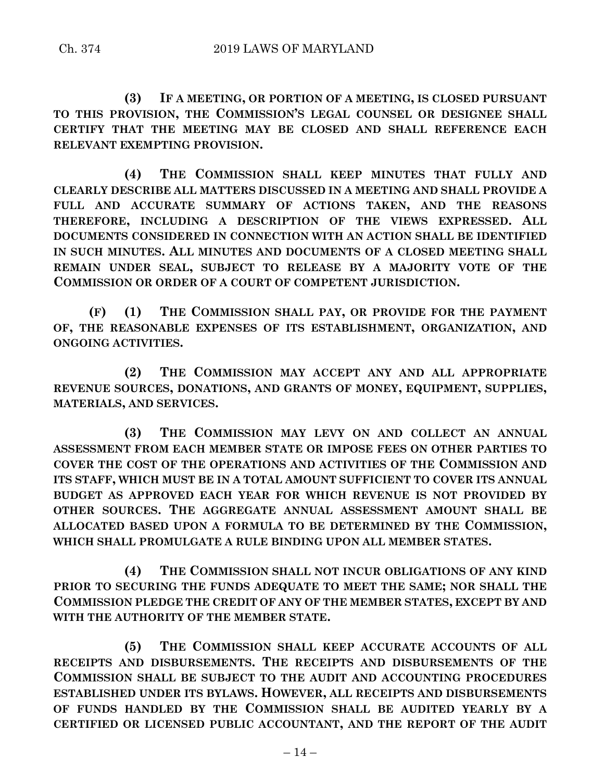**(3) IF A MEETING, OR PORTION OF A MEETING, IS CLOSED PURSUANT TO THIS PROVISION, THE COMMISSION'S LEGAL COUNSEL OR DESIGNEE SHALL CERTIFY THAT THE MEETING MAY BE CLOSED AND SHALL REFERENCE EACH RELEVANT EXEMPTING PROVISION.**

**(4) THE COMMISSION SHALL KEEP MINUTES THAT FULLY AND CLEARLY DESCRIBE ALL MATTERS DISCUSSED IN A MEETING AND SHALL PROVIDE A FULL AND ACCURATE SUMMARY OF ACTIONS TAKEN, AND THE REASONS THEREFORE, INCLUDING A DESCRIPTION OF THE VIEWS EXPRESSED. ALL DOCUMENTS CONSIDERED IN CONNECTION WITH AN ACTION SHALL BE IDENTIFIED IN SUCH MINUTES. ALL MINUTES AND DOCUMENTS OF A CLOSED MEETING SHALL REMAIN UNDER SEAL, SUBJECT TO RELEASE BY A MAJORITY VOTE OF THE COMMISSION OR ORDER OF A COURT OF COMPETENT JURISDICTION.**

**(F) (1) THE COMMISSION SHALL PAY, OR PROVIDE FOR THE PAYMENT OF, THE REASONABLE EXPENSES OF ITS ESTABLISHMENT, ORGANIZATION, AND ONGOING ACTIVITIES.**

**(2) THE COMMISSION MAY ACCEPT ANY AND ALL APPROPRIATE REVENUE SOURCES, DONATIONS, AND GRANTS OF MONEY, EQUIPMENT, SUPPLIES, MATERIALS, AND SERVICES.**

**(3) THE COMMISSION MAY LEVY ON AND COLLECT AN ANNUAL ASSESSMENT FROM EACH MEMBER STATE OR IMPOSE FEES ON OTHER PARTIES TO COVER THE COST OF THE OPERATIONS AND ACTIVITIES OF THE COMMISSION AND ITS STAFF, WHICH MUST BE IN A TOTAL AMOUNT SUFFICIENT TO COVER ITS ANNUAL BUDGET AS APPROVED EACH YEAR FOR WHICH REVENUE IS NOT PROVIDED BY OTHER SOURCES. THE AGGREGATE ANNUAL ASSESSMENT AMOUNT SHALL BE ALLOCATED BASED UPON A FORMULA TO BE DETERMINED BY THE COMMISSION, WHICH SHALL PROMULGATE A RULE BINDING UPON ALL MEMBER STATES.**

**(4) THE COMMISSION SHALL NOT INCUR OBLIGATIONS OF ANY KIND PRIOR TO SECURING THE FUNDS ADEQUATE TO MEET THE SAME; NOR SHALL THE COMMISSION PLEDGE THE CREDIT OF ANY OF THE MEMBER STATES, EXCEPT BY AND WITH THE AUTHORITY OF THE MEMBER STATE.**

**(5) THE COMMISSION SHALL KEEP ACCURATE ACCOUNTS OF ALL RECEIPTS AND DISBURSEMENTS. THE RECEIPTS AND DISBURSEMENTS OF THE COMMISSION SHALL BE SUBJECT TO THE AUDIT AND ACCOUNTING PROCEDURES ESTABLISHED UNDER ITS BYLAWS. HOWEVER, ALL RECEIPTS AND DISBURSEMENTS OF FUNDS HANDLED BY THE COMMISSION SHALL BE AUDITED YEARLY BY A CERTIFIED OR LICENSED PUBLIC ACCOUNTANT, AND THE REPORT OF THE AUDIT**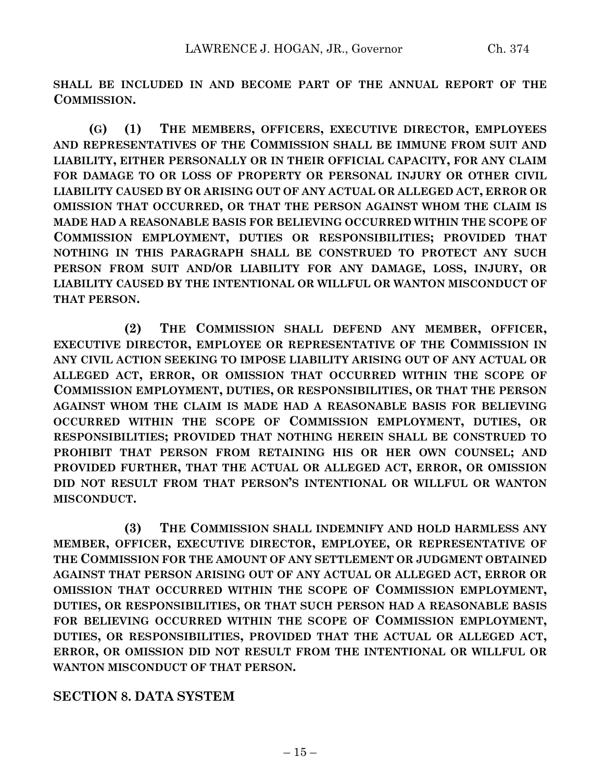**SHALL BE INCLUDED IN AND BECOME PART OF THE ANNUAL REPORT OF THE COMMISSION.**

**(G) (1) THE MEMBERS, OFFICERS, EXECUTIVE DIRECTOR, EMPLOYEES AND REPRESENTATIVES OF THE COMMISSION SHALL BE IMMUNE FROM SUIT AND LIABILITY, EITHER PERSONALLY OR IN THEIR OFFICIAL CAPACITY, FOR ANY CLAIM FOR DAMAGE TO OR LOSS OF PROPERTY OR PERSONAL INJURY OR OTHER CIVIL LIABILITY CAUSED BY OR ARISING OUT OF ANY ACTUAL OR ALLEGED ACT, ERROR OR OMISSION THAT OCCURRED, OR THAT THE PERSON AGAINST WHOM THE CLAIM IS MADE HAD A REASONABLE BASIS FOR BELIEVING OCCURRED WITHIN THE SCOPE OF COMMISSION EMPLOYMENT, DUTIES OR RESPONSIBILITIES; PROVIDED THAT NOTHING IN THIS PARAGRAPH SHALL BE CONSTRUED TO PROTECT ANY SUCH PERSON FROM SUIT AND/OR LIABILITY FOR ANY DAMAGE, LOSS, INJURY, OR LIABILITY CAUSED BY THE INTENTIONAL OR WILLFUL OR WANTON MISCONDUCT OF THAT PERSON.**

**(2) THE COMMISSION SHALL DEFEND ANY MEMBER, OFFICER, EXECUTIVE DIRECTOR, EMPLOYEE OR REPRESENTATIVE OF THE COMMISSION IN ANY CIVIL ACTION SEEKING TO IMPOSE LIABILITY ARISING OUT OF ANY ACTUAL OR ALLEGED ACT, ERROR, OR OMISSION THAT OCCURRED WITHIN THE SCOPE OF COMMISSION EMPLOYMENT, DUTIES, OR RESPONSIBILITIES, OR THAT THE PERSON AGAINST WHOM THE CLAIM IS MADE HAD A REASONABLE BASIS FOR BELIEVING OCCURRED WITHIN THE SCOPE OF COMMISSION EMPLOYMENT, DUTIES, OR RESPONSIBILITIES; PROVIDED THAT NOTHING HEREIN SHALL BE CONSTRUED TO PROHIBIT THAT PERSON FROM RETAINING HIS OR HER OWN COUNSEL; AND PROVIDED FURTHER, THAT THE ACTUAL OR ALLEGED ACT, ERROR, OR OMISSION DID NOT RESULT FROM THAT PERSON'S INTENTIONAL OR WILLFUL OR WANTON MISCONDUCT.**

**(3) THE COMMISSION SHALL INDEMNIFY AND HOLD HARMLESS ANY MEMBER, OFFICER, EXECUTIVE DIRECTOR, EMPLOYEE, OR REPRESENTATIVE OF THE COMMISSION FOR THE AMOUNT OF ANY SETTLEMENT OR JUDGMENT OBTAINED AGAINST THAT PERSON ARISING OUT OF ANY ACTUAL OR ALLEGED ACT, ERROR OR OMISSION THAT OCCURRED WITHIN THE SCOPE OF COMMISSION EMPLOYMENT, DUTIES, OR RESPONSIBILITIES, OR THAT SUCH PERSON HAD A REASONABLE BASIS FOR BELIEVING OCCURRED WITHIN THE SCOPE OF COMMISSION EMPLOYMENT, DUTIES, OR RESPONSIBILITIES, PROVIDED THAT THE ACTUAL OR ALLEGED ACT, ERROR, OR OMISSION DID NOT RESULT FROM THE INTENTIONAL OR WILLFUL OR WANTON MISCONDUCT OF THAT PERSON.**

# **SECTION 8. DATA SYSTEM**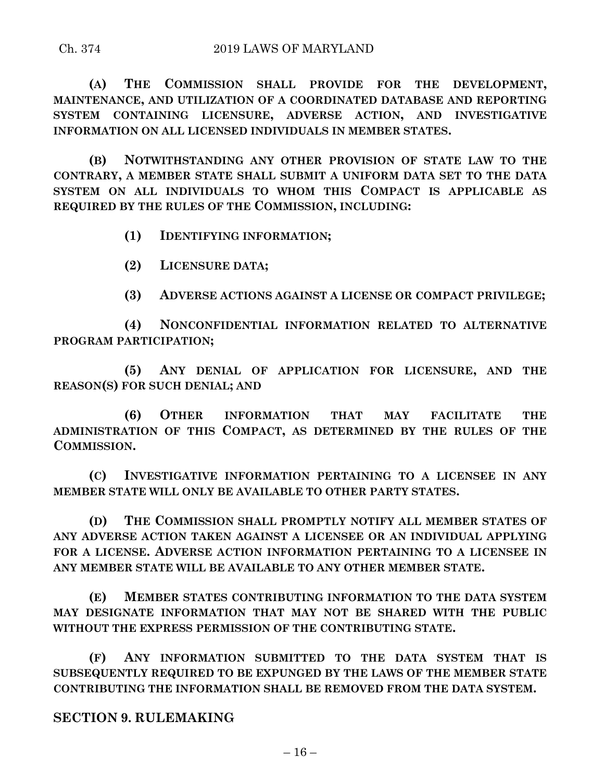**(A) THE COMMISSION SHALL PROVIDE FOR THE DEVELOPMENT, MAINTENANCE, AND UTILIZATION OF A COORDINATED DATABASE AND REPORTING SYSTEM CONTAINING LICENSURE, ADVERSE ACTION, AND INVESTIGATIVE INFORMATION ON ALL LICENSED INDIVIDUALS IN MEMBER STATES.**

**(B) NOTWITHSTANDING ANY OTHER PROVISION OF STATE LAW TO THE CONTRARY, A MEMBER STATE SHALL SUBMIT A UNIFORM DATA SET TO THE DATA SYSTEM ON ALL INDIVIDUALS TO WHOM THIS COMPACT IS APPLICABLE AS REQUIRED BY THE RULES OF THE COMMISSION, INCLUDING:**

- **(1) IDENTIFYING INFORMATION;**
- **(2) LICENSURE DATA;**
- **(3) ADVERSE ACTIONS AGAINST A LICENSE OR COMPACT PRIVILEGE;**

**(4) NONCONFIDENTIAL INFORMATION RELATED TO ALTERNATIVE PROGRAM PARTICIPATION;**

**(5) ANY DENIAL OF APPLICATION FOR LICENSURE, AND THE REASON(S) FOR SUCH DENIAL; AND** 

**(6) OTHER INFORMATION THAT MAY FACILITATE THE ADMINISTRATION OF THIS COMPACT, AS DETERMINED BY THE RULES OF THE COMMISSION.**

**(C) INVESTIGATIVE INFORMATION PERTAINING TO A LICENSEE IN ANY MEMBER STATE WILL ONLY BE AVAILABLE TO OTHER PARTY STATES.**

**(D) THE COMMISSION SHALL PROMPTLY NOTIFY ALL MEMBER STATES OF ANY ADVERSE ACTION TAKEN AGAINST A LICENSEE OR AN INDIVIDUAL APPLYING FOR A LICENSE. ADVERSE ACTION INFORMATION PERTAINING TO A LICENSEE IN ANY MEMBER STATE WILL BE AVAILABLE TO ANY OTHER MEMBER STATE.**

**(E) MEMBER STATES CONTRIBUTING INFORMATION TO THE DATA SYSTEM MAY DESIGNATE INFORMATION THAT MAY NOT BE SHARED WITH THE PUBLIC WITHOUT THE EXPRESS PERMISSION OF THE CONTRIBUTING STATE.**

**(F) ANY INFORMATION SUBMITTED TO THE DATA SYSTEM THAT IS SUBSEQUENTLY REQUIRED TO BE EXPUNGED BY THE LAWS OF THE MEMBER STATE CONTRIBUTING THE INFORMATION SHALL BE REMOVED FROM THE DATA SYSTEM.**

# **SECTION 9. RULEMAKING**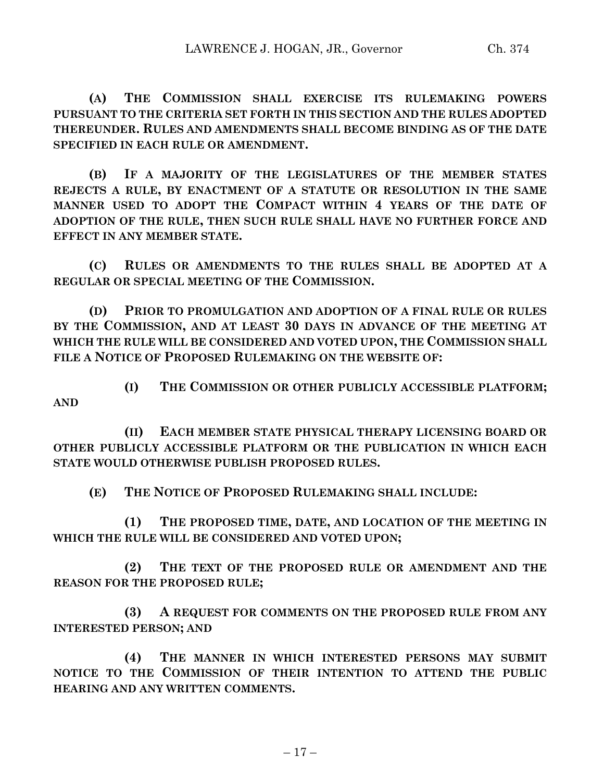**(A) THE COMMISSION SHALL EXERCISE ITS RULEMAKING POWERS PURSUANT TO THE CRITERIA SET FORTH IN THIS SECTION AND THE RULES ADOPTED THEREUNDER. RULES AND AMENDMENTS SHALL BECOME BINDING AS OF THE DATE SPECIFIED IN EACH RULE OR AMENDMENT.**

**(B) IF A MAJORITY OF THE LEGISLATURES OF THE MEMBER STATES REJECTS A RULE, BY ENACTMENT OF A STATUTE OR RESOLUTION IN THE SAME MANNER USED TO ADOPT THE COMPACT WITHIN 4 YEARS OF THE DATE OF ADOPTION OF THE RULE, THEN SUCH RULE SHALL HAVE NO FURTHER FORCE AND EFFECT IN ANY MEMBER STATE.**

**(C) RULES OR AMENDMENTS TO THE RULES SHALL BE ADOPTED AT A REGULAR OR SPECIAL MEETING OF THE COMMISSION.**

**(D) PRIOR TO PROMULGATION AND ADOPTION OF A FINAL RULE OR RULES BY THE COMMISSION, AND AT LEAST 30 DAYS IN ADVANCE OF THE MEETING AT WHICH THE RULE WILL BE CONSIDERED AND VOTED UPON, THE COMMISSION SHALL FILE A NOTICE OF PROPOSED RULEMAKING ON THE WEBSITE OF:**

**(I) THE COMMISSION OR OTHER PUBLICLY ACCESSIBLE PLATFORM;**

**(II) EACH MEMBER STATE PHYSICAL THERAPY LICENSING BOARD OR OTHER PUBLICLY ACCESSIBLE PLATFORM OR THE PUBLICATION IN WHICH EACH STATE WOULD OTHERWISE PUBLISH PROPOSED RULES.**

**(E) THE NOTICE OF PROPOSED RULEMAKING SHALL INCLUDE:**

**AND**

**(1) THE PROPOSED TIME, DATE, AND LOCATION OF THE MEETING IN WHICH THE RULE WILL BE CONSIDERED AND VOTED UPON;**

**(2) THE TEXT OF THE PROPOSED RULE OR AMENDMENT AND THE REASON FOR THE PROPOSED RULE;**

**(3) A REQUEST FOR COMMENTS ON THE PROPOSED RULE FROM ANY INTERESTED PERSON; AND** 

**(4) THE MANNER IN WHICH INTERESTED PERSONS MAY SUBMIT NOTICE TO THE COMMISSION OF THEIR INTENTION TO ATTEND THE PUBLIC HEARING AND ANY WRITTEN COMMENTS.**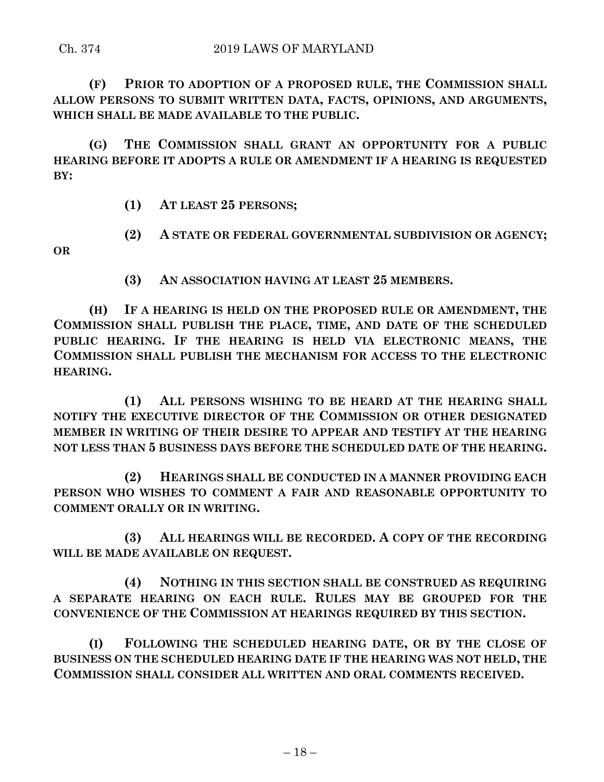**(F) PRIOR TO ADOPTION OF A PROPOSED RULE, THE COMMISSION SHALL ALLOW PERSONS TO SUBMIT WRITTEN DATA, FACTS, OPINIONS, AND ARGUMENTS, WHICH SHALL BE MADE AVAILABLE TO THE PUBLIC.**

**(G) THE COMMISSION SHALL GRANT AN OPPORTUNITY FOR A PUBLIC HEARING BEFORE IT ADOPTS A RULE OR AMENDMENT IF A HEARING IS REQUESTED BY:**

**(1) AT LEAST 25 PERSONS;**

**(2) A STATE OR FEDERAL GOVERNMENTAL SUBDIVISION OR AGENCY;**

**OR** 

**(3) AN ASSOCIATION HAVING AT LEAST 25 MEMBERS.**

**(H) IF A HEARING IS HELD ON THE PROPOSED RULE OR AMENDMENT, THE COMMISSION SHALL PUBLISH THE PLACE, TIME, AND DATE OF THE SCHEDULED PUBLIC HEARING. IF THE HEARING IS HELD VIA ELECTRONIC MEANS, THE COMMISSION SHALL PUBLISH THE MECHANISM FOR ACCESS TO THE ELECTRONIC HEARING.**

**(1) ALL PERSONS WISHING TO BE HEARD AT THE HEARING SHALL NOTIFY THE EXECUTIVE DIRECTOR OF THE COMMISSION OR OTHER DESIGNATED MEMBER IN WRITING OF THEIR DESIRE TO APPEAR AND TESTIFY AT THE HEARING NOT LESS THAN 5 BUSINESS DAYS BEFORE THE SCHEDULED DATE OF THE HEARING.**

**(2) HEARINGS SHALL BE CONDUCTED IN A MANNER PROVIDING EACH PERSON WHO WISHES TO COMMENT A FAIR AND REASONABLE OPPORTUNITY TO COMMENT ORALLY OR IN WRITING.**

**(3) ALL HEARINGS WILL BE RECORDED. A COPY OF THE RECORDING WILL BE MADE AVAILABLE ON REQUEST.**

**(4) NOTHING IN THIS SECTION SHALL BE CONSTRUED AS REQUIRING A SEPARATE HEARING ON EACH RULE. RULES MAY BE GROUPED FOR THE CONVENIENCE OF THE COMMISSION AT HEARINGS REQUIRED BY THIS SECTION.**

**(I) FOLLOWING THE SCHEDULED HEARING DATE, OR BY THE CLOSE OF BUSINESS ON THE SCHEDULED HEARING DATE IF THE HEARING WAS NOT HELD, THE COMMISSION SHALL CONSIDER ALL WRITTEN AND ORAL COMMENTS RECEIVED.**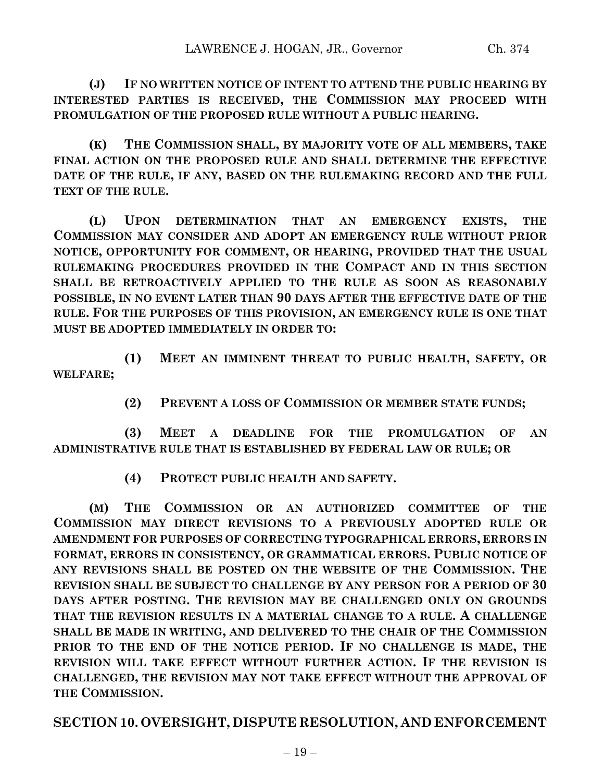**(J) IF NO WRITTEN NOTICE OF INTENT TO ATTEND THE PUBLIC HEARING BY INTERESTED PARTIES IS RECEIVED, THE COMMISSION MAY PROCEED WITH PROMULGATION OF THE PROPOSED RULE WITHOUT A PUBLIC HEARING.**

**(K) THE COMMISSION SHALL, BY MAJORITY VOTE OF ALL MEMBERS, TAKE FINAL ACTION ON THE PROPOSED RULE AND SHALL DETERMINE THE EFFECTIVE DATE OF THE RULE, IF ANY, BASED ON THE RULEMAKING RECORD AND THE FULL TEXT OF THE RULE.**

**(L) UPON DETERMINATION THAT AN EMERGENCY EXISTS, THE COMMISSION MAY CONSIDER AND ADOPT AN EMERGENCY RULE WITHOUT PRIOR NOTICE, OPPORTUNITY FOR COMMENT, OR HEARING, PROVIDED THAT THE USUAL RULEMAKING PROCEDURES PROVIDED IN THE COMPACT AND IN THIS SECTION SHALL BE RETROACTIVELY APPLIED TO THE RULE AS SOON AS REASONABLY POSSIBLE, IN NO EVENT LATER THAN 90 DAYS AFTER THE EFFECTIVE DATE OF THE RULE. FOR THE PURPOSES OF THIS PROVISION, AN EMERGENCY RULE IS ONE THAT MUST BE ADOPTED IMMEDIATELY IN ORDER TO:**

**(1) MEET AN IMMINENT THREAT TO PUBLIC HEALTH, SAFETY, OR WELFARE;**

**(2) PREVENT A LOSS OF COMMISSION OR MEMBER STATE FUNDS;**

**(3) MEET A DEADLINE FOR THE PROMULGATION OF AN ADMINISTRATIVE RULE THAT IS ESTABLISHED BY FEDERAL LAW OR RULE; OR** 

**(4) PROTECT PUBLIC HEALTH AND SAFETY.**

**(M) THE COMMISSION OR AN AUTHORIZED COMMITTEE OF THE COMMISSION MAY DIRECT REVISIONS TO A PREVIOUSLY ADOPTED RULE OR AMENDMENT FOR PURPOSES OF CORRECTING TYPOGRAPHICAL ERRORS, ERRORS IN FORMAT, ERRORS IN CONSISTENCY, OR GRAMMATICAL ERRORS. PUBLIC NOTICE OF ANY REVISIONS SHALL BE POSTED ON THE WEBSITE OF THE COMMISSION. THE REVISION SHALL BE SUBJECT TO CHALLENGE BY ANY PERSON FOR A PERIOD OF 30 DAYS AFTER POSTING. THE REVISION MAY BE CHALLENGED ONLY ON GROUNDS THAT THE REVISION RESULTS IN A MATERIAL CHANGE TO A RULE. A CHALLENGE SHALL BE MADE IN WRITING, AND DELIVERED TO THE CHAIR OF THE COMMISSION PRIOR TO THE END OF THE NOTICE PERIOD. IF NO CHALLENGE IS MADE, THE REVISION WILL TAKE EFFECT WITHOUT FURTHER ACTION. IF THE REVISION IS CHALLENGED, THE REVISION MAY NOT TAKE EFFECT WITHOUT THE APPROVAL OF THE COMMISSION.**

**SECTION 10. OVERSIGHT, DISPUTE RESOLUTION, AND ENFORCEMENT**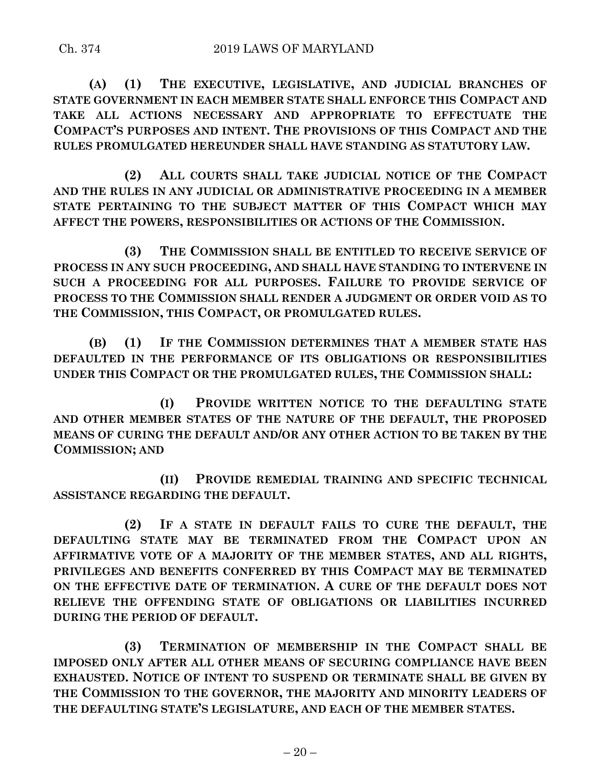**(A) (1) THE EXECUTIVE, LEGISLATIVE, AND JUDICIAL BRANCHES OF STATE GOVERNMENT IN EACH MEMBER STATE SHALL ENFORCE THIS COMPACT AND TAKE ALL ACTIONS NECESSARY AND APPROPRIATE TO EFFECTUATE THE COMPACT'S PURPOSES AND INTENT. THE PROVISIONS OF THIS COMPACT AND THE RULES PROMULGATED HEREUNDER SHALL HAVE STANDING AS STATUTORY LAW.**

**(2) ALL COURTS SHALL TAKE JUDICIAL NOTICE OF THE COMPACT AND THE RULES IN ANY JUDICIAL OR ADMINISTRATIVE PROCEEDING IN A MEMBER STATE PERTAINING TO THE SUBJECT MATTER OF THIS COMPACT WHICH MAY AFFECT THE POWERS, RESPONSIBILITIES OR ACTIONS OF THE COMMISSION.**

**(3) THE COMMISSION SHALL BE ENTITLED TO RECEIVE SERVICE OF PROCESS IN ANY SUCH PROCEEDING, AND SHALL HAVE STANDING TO INTERVENE IN SUCH A PROCEEDING FOR ALL PURPOSES. FAILURE TO PROVIDE SERVICE OF PROCESS TO THE COMMISSION SHALL RENDER A JUDGMENT OR ORDER VOID AS TO THE COMMISSION, THIS COMPACT, OR PROMULGATED RULES.**

**(B) (1) IF THE COMMISSION DETERMINES THAT A MEMBER STATE HAS DEFAULTED IN THE PERFORMANCE OF ITS OBLIGATIONS OR RESPONSIBILITIES UNDER THIS COMPACT OR THE PROMULGATED RULES, THE COMMISSION SHALL:**

**(I) PROVIDE WRITTEN NOTICE TO THE DEFAULTING STATE AND OTHER MEMBER STATES OF THE NATURE OF THE DEFAULT, THE PROPOSED MEANS OF CURING THE DEFAULT AND/OR ANY OTHER ACTION TO BE TAKEN BY THE COMMISSION; AND** 

**(II) PROVIDE REMEDIAL TRAINING AND SPECIFIC TECHNICAL ASSISTANCE REGARDING THE DEFAULT.**

**(2) IF A STATE IN DEFAULT FAILS TO CURE THE DEFAULT, THE DEFAULTING STATE MAY BE TERMINATED FROM THE COMPACT UPON AN AFFIRMATIVE VOTE OF A MAJORITY OF THE MEMBER STATES, AND ALL RIGHTS, PRIVILEGES AND BENEFITS CONFERRED BY THIS COMPACT MAY BE TERMINATED ON THE EFFECTIVE DATE OF TERMINATION. A CURE OF THE DEFAULT DOES NOT RELIEVE THE OFFENDING STATE OF OBLIGATIONS OR LIABILITIES INCURRED DURING THE PERIOD OF DEFAULT.**

**(3) TERMINATION OF MEMBERSHIP IN THE COMPACT SHALL BE IMPOSED ONLY AFTER ALL OTHER MEANS OF SECURING COMPLIANCE HAVE BEEN EXHAUSTED. NOTICE OF INTENT TO SUSPEND OR TERMINATE SHALL BE GIVEN BY THE COMMISSION TO THE GOVERNOR, THE MAJORITY AND MINORITY LEADERS OF THE DEFAULTING STATE'S LEGISLATURE, AND EACH OF THE MEMBER STATES.**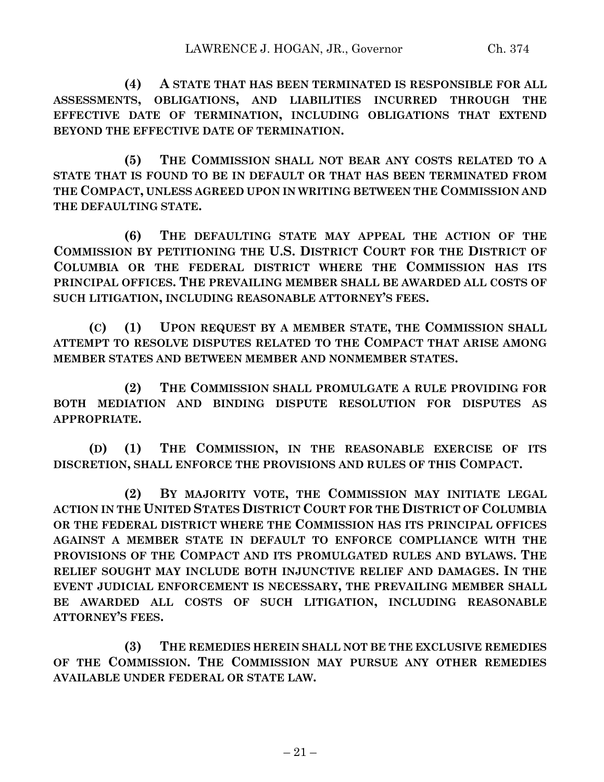**(4) A STATE THAT HAS BEEN TERMINATED IS RESPONSIBLE FOR ALL ASSESSMENTS, OBLIGATIONS, AND LIABILITIES INCURRED THROUGH THE EFFECTIVE DATE OF TERMINATION, INCLUDING OBLIGATIONS THAT EXTEND BEYOND THE EFFECTIVE DATE OF TERMINATION.**

**(5) THE COMMISSION SHALL NOT BEAR ANY COSTS RELATED TO A STATE THAT IS FOUND TO BE IN DEFAULT OR THAT HAS BEEN TERMINATED FROM THE COMPACT, UNLESS AGREED UPON IN WRITING BETWEEN THE COMMISSION AND THE DEFAULTING STATE.**

**(6) THE DEFAULTING STATE MAY APPEAL THE ACTION OF THE COMMISSION BY PETITIONING THE U.S. DISTRICT COURT FOR THE DISTRICT OF COLUMBIA OR THE FEDERAL DISTRICT WHERE THE COMMISSION HAS ITS PRINCIPAL OFFICES. THE PREVAILING MEMBER SHALL BE AWARDED ALL COSTS OF SUCH LITIGATION, INCLUDING REASONABLE ATTORNEY'S FEES.**

**(C) (1) UPON REQUEST BY A MEMBER STATE, THE COMMISSION SHALL ATTEMPT TO RESOLVE DISPUTES RELATED TO THE COMPACT THAT ARISE AMONG MEMBER STATES AND BETWEEN MEMBER AND NONMEMBER STATES.**

**(2) THE COMMISSION SHALL PROMULGATE A RULE PROVIDING FOR BOTH MEDIATION AND BINDING DISPUTE RESOLUTION FOR DISPUTES AS APPROPRIATE.**

**(D) (1) THE COMMISSION, IN THE REASONABLE EXERCISE OF ITS DISCRETION, SHALL ENFORCE THE PROVISIONS AND RULES OF THIS COMPACT.**

**(2) BY MAJORITY VOTE, THE COMMISSION MAY INITIATE LEGAL ACTION IN THE UNITED STATES DISTRICT COURT FOR THE DISTRICT OF COLUMBIA OR THE FEDERAL DISTRICT WHERE THE COMMISSION HAS ITS PRINCIPAL OFFICES AGAINST A MEMBER STATE IN DEFAULT TO ENFORCE COMPLIANCE WITH THE PROVISIONS OF THE COMPACT AND ITS PROMULGATED RULES AND BYLAWS. THE RELIEF SOUGHT MAY INCLUDE BOTH INJUNCTIVE RELIEF AND DAMAGES. IN THE EVENT JUDICIAL ENFORCEMENT IS NECESSARY, THE PREVAILING MEMBER SHALL BE AWARDED ALL COSTS OF SUCH LITIGATION, INCLUDING REASONABLE ATTORNEY'S FEES.**

**(3) THE REMEDIES HEREIN SHALL NOT BE THE EXCLUSIVE REMEDIES OF THE COMMISSION. THE COMMISSION MAY PURSUE ANY OTHER REMEDIES AVAILABLE UNDER FEDERAL OR STATE LAW.**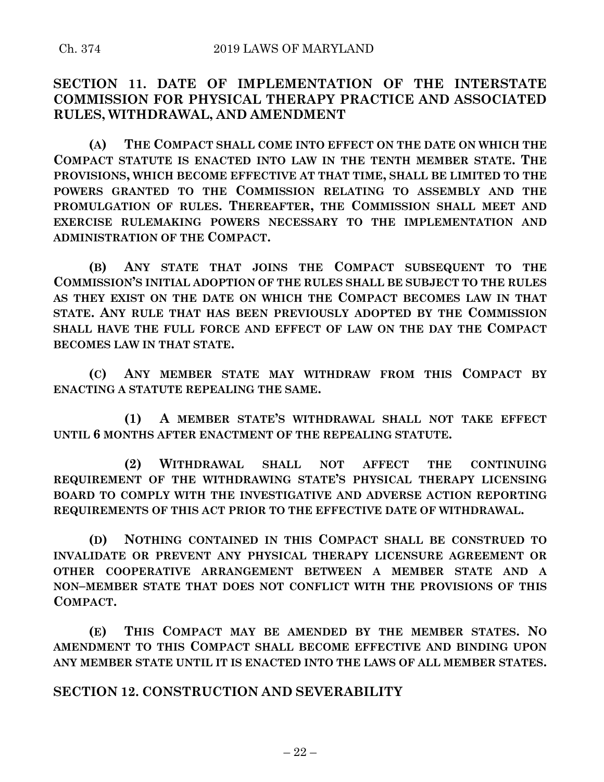# **SECTION 11. DATE OF IMPLEMENTATION OF THE INTERSTATE COMMISSION FOR PHYSICAL THERAPY PRACTICE AND ASSOCIATED RULES, WITHDRAWAL, AND AMENDMENT**

**(A) THE COMPACT SHALL COME INTO EFFECT ON THE DATE ON WHICH THE COMPACT STATUTE IS ENACTED INTO LAW IN THE TENTH MEMBER STATE. THE PROVISIONS, WHICH BECOME EFFECTIVE AT THAT TIME, SHALL BE LIMITED TO THE POWERS GRANTED TO THE COMMISSION RELATING TO ASSEMBLY AND THE PROMULGATION OF RULES. THEREAFTER, THE COMMISSION SHALL MEET AND EXERCISE RULEMAKING POWERS NECESSARY TO THE IMPLEMENTATION AND ADMINISTRATION OF THE COMPACT.**

**(B) ANY STATE THAT JOINS THE COMPACT SUBSEQUENT TO THE COMMISSION'S INITIAL ADOPTION OF THE RULES SHALL BE SUBJECT TO THE RULES AS THEY EXIST ON THE DATE ON WHICH THE COMPACT BECOMES LAW IN THAT STATE. ANY RULE THAT HAS BEEN PREVIOUSLY ADOPTED BY THE COMMISSION SHALL HAVE THE FULL FORCE AND EFFECT OF LAW ON THE DAY THE COMPACT BECOMES LAW IN THAT STATE.**

**(C) ANY MEMBER STATE MAY WITHDRAW FROM THIS COMPACT BY ENACTING A STATUTE REPEALING THE SAME.**

**(1) A MEMBER STATE'S WITHDRAWAL SHALL NOT TAKE EFFECT UNTIL 6 MONTHS AFTER ENACTMENT OF THE REPEALING STATUTE.**

**(2) WITHDRAWAL SHALL NOT AFFECT THE CONTINUING REQUIREMENT OF THE WITHDRAWING STATE'S PHYSICAL THERAPY LICENSING BOARD TO COMPLY WITH THE INVESTIGATIVE AND ADVERSE ACTION REPORTING REQUIREMENTS OF THIS ACT PRIOR TO THE EFFECTIVE DATE OF WITHDRAWAL.**

**(D) NOTHING CONTAINED IN THIS COMPACT SHALL BE CONSTRUED TO INVALIDATE OR PREVENT ANY PHYSICAL THERAPY LICENSURE AGREEMENT OR OTHER COOPERATIVE ARRANGEMENT BETWEEN A MEMBER STATE AND A NON–MEMBER STATE THAT DOES NOT CONFLICT WITH THE PROVISIONS OF THIS COMPACT.**

**(E) THIS COMPACT MAY BE AMENDED BY THE MEMBER STATES. NO AMENDMENT TO THIS COMPACT SHALL BECOME EFFECTIVE AND BINDING UPON ANY MEMBER STATE UNTIL IT IS ENACTED INTO THE LAWS OF ALL MEMBER STATES.**

# **SECTION 12. CONSTRUCTION AND SEVERABILITY**